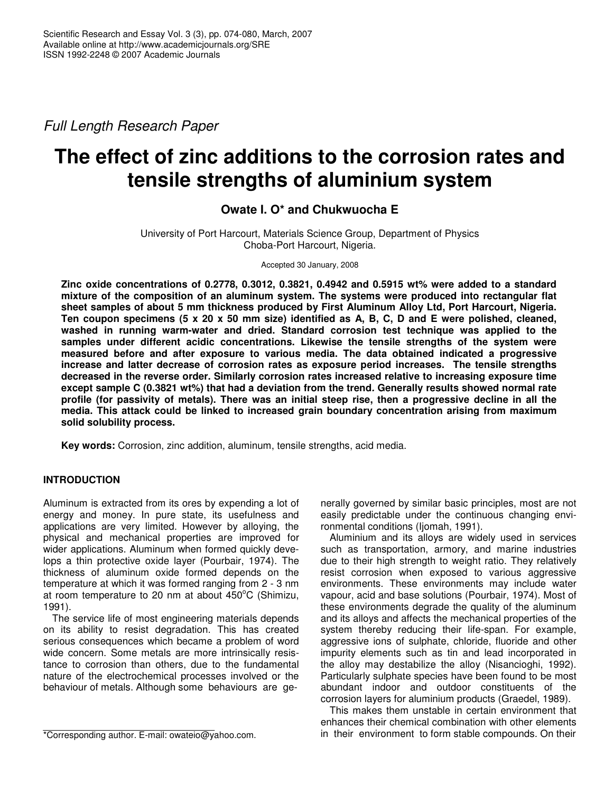*Full Length Research Paper*

# **The effect of zinc additions to the corrosion rates and tensile strengths of aluminium system**

## **Owate I. O\* and Chukwuocha E**

University of Port Harcourt, Materials Science Group, Department of Physics Choba-Port Harcourt, Nigeria.

Accepted 30 January, 2008

**Zinc oxide concentrations of 0.2778, 0.3012, 0.3821, 0.4942 and 0.5915 wt% were added to a standard mixture of the composition of an aluminum system. The systems were produced into rectangular flat sheet samples of about 5 mm thickness produced by First Aluminum Alloy Ltd, Port Harcourt, Nigeria.** Ten coupon specimens (5 x 20 x 50 mm size) identified as A, B, C, D and E were polished, cleaned, **washed in running warm-water and dried. Standard corrosion test technique was applied to the samples under different acidic concentrations. Likewise the tensile strengths of the system were measured before and after exposure to various media. The data obtained indicated a progressive increase and latter decrease of corrosion rates as exposure period increases. The tensile strengths decreased in the reverse order. Similarly corrosion rates increased relative to increasing exposure time** except sample C (0.3821 wt%) that had a deviation from the trend. Generally results showed normal rate profile (for passivity of metals). There was an initial steep rise, then a progressive decline in all the **media. This attack could be linked to increased grain boundary concentration arising from maximum solid solubility process.**

**Key words:** Corrosion, zinc addition, aluminum, tensile strengths, acid media.

## **INTRODUCTION**

Aluminum is extracted from its ores by expending a lot of energy and money. In pure state, its usefulness and applications are very limited. However by alloying, the physical and mechanical properties are improved for wider applications. Aluminum when formed quickly develops a thin protective oxide layer (Pourbair, 1974). The thickness of aluminum oxide formed depends on the temperature at which it was formed ranging from 2 - 3 nm at room temperature to 20 nm at about  $450^{\circ}$ C (Shimizu, 1991).

The service life of most engineering materials depends on its ability to resist degradation. This has created serious consequences which became a problem of word wide concern. Some metals are more intrinsically resistance to corrosion than others, due to the fundamental nature of the electrochemical processes involved or the behaviour of metals. Although some behaviours are generally governed by similar basic principles, most are not easily predictable under the continuous changing environmental conditions (Ijomah, 1991).

Aluminium and its alloys are widely used in services such as transportation, armory, and marine industries due to their high strength to weight ratio. They relatively resist corrosion when exposed to various aggressive environments. These environments may include water vapour, acid and base solutions (Pourbair, 1974). Most of these environments degrade the quality of the aluminum and its alloys and affects the mechanical properties of the system thereby reducing their life-span. For example, aggressive ions of sulphate, chloride, fluoride and other impurity elements such as tin and lead incorporated in the alloy may destabilize the alloy (Nisancioghi, 1992). Particularly sulphate species have been found to be most abundant indoor and outdoor constituents of the corrosion layers for aluminium products (Graedel, 1989).

This makes them unstable in certain environment that enhances their chemical combination with other elements in their environment to form stable compounds. On their

<sup>\*</sup>Corresponding author. E-mail: owateio@yahoo.com.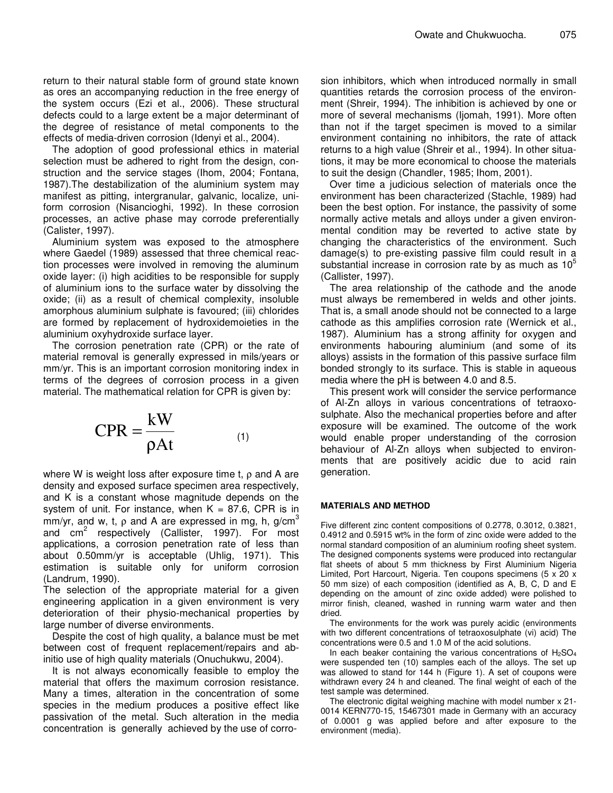return to their natural stable form of ground state known as ores an accompanying reduction in the free energy of the system occurs (Ezi et al., 2006). These structural defects could to a large extent be a major determinant of the degree of resistance of metal components to the effects of media-driven corrosion (Idenyi et al., 2004).

The adoption of good professional ethics in material selection must be adhered to right from the design, construction and the service stages (Ihom, 2004; Fontana, 1987).The destabilization of the aluminium system may manifest as pitting, intergranular, galvanic, localize, uniform corrosion (Nisancioghi, 1992). In these corrosion processes, an active phase may corrode preferentially (Calister, 1997).

Aluminium system was exposed to the atmosphere where Gaedel (1989) assessed that three chemical reaction processes were involved in removing the aluminum oxide layer: (i) high acidities to be responsible for supply of aluminium ions to the surface water by dissolving the oxide; (ii) as a result of chemical complexity, insoluble amorphous aluminium sulphate is favoured; (iii) chlorides are formed by replacement of hydroxidemoieties in the aluminium oxyhydroxide surface layer.

The corrosion penetration rate (CPR) or the rate of material removal is generally expressed in mils/years or mm/yr. This is an important corrosion monitoring index in terms of the degrees of corrosion process in a given material. The mathematical relation for CPR is given by:

$$
CPR = \frac{kW}{\rho At}
$$
 (1)

where W is weight loss after exposure time t,  $\rho$  and A are density and exposed surface specimen area respectively, and K is a constant whose magnitude depends on the system of unit. For instance, when  $K = 87.6$ , CPR is in mm/yr, and w, t,  $\rho$  and A are expressed in mg, h, g/cm $^3$ and cm<sup>2</sup> respectively (Callister, 1997). For most applications, a corrosion penetration rate of less than about 0.50mm/yr is acceptable (Uhlig, 1971). This estimation is suitable only for uniform corrosion (Landrum, 1990).

The selection of the appropriate material for a given engineering application in a given environment is very deterioration of their physio-mechanical properties by large number of diverse environments.

Despite the cost of high quality, a balance must be met between cost of frequent replacement/repairs and abinitio use of high quality materials (Onuchukwu, 2004).

It is not always economically feasible to employ the material that offers the maximum corrosion resistance. Many a times, alteration in the concentration of some species in the medium produces a positive effect like passivation of the metal. Such alteration in the media concentration is generally achieved by the use of corrosion inhibitors, which when introduced normally in small quantities retards the corrosion process of the environment (Shreir, 1994). The inhibition is achieved by one or more of several mechanisms (Ijomah, 1991). More often than not if the target specimen is moved to a similar environment containing no inhibitors, the rate of attack returns to a high value (Shreir et al., 1994). In other situations, it may be more economical to choose the materials to suit the design (Chandler, 1985; Ihom, 2001).

Over time a judicious selection of materials once the environment has been characterized (Stachle, 1989) had been the best option. For instance, the passivity of some normally active metals and alloys under a given environmental condition may be reverted to active state by changing the characteristics of the environment. Such damage(s) to pre-existing passive film could result in a substantial increase in corrosion rate by as much as  $10^5$ (Callister, 1997).

The area relationship of the cathode and the anode must always be remembered in welds and other joints. That is, a small anode should not be connected to a large cathode as this amplifies corrosion rate (Wernick et al., 1987). Aluminium has a strong affinity for oxygen and environments habouring aluminium (and some of its alloys) assists in the formation of this passive surface film bonded strongly to its surface. This is stable in aqueous media where the pH is between 4.0 and 8.5.

This present work will consider the service performance of Al-Zn alloys in various concentrations of tetraoxosulphate. Also the mechanical properties before and after exposure will be examined. The outcome of the work would enable proper understanding of the corrosion behaviour of Al-Zn alloys when subjected to environments that are positively acidic due to acid rain generation.

#### **MATERIALS AND METHOD**

Five different zinc content compositions of 0.2778, 0.3012, 0.3821, 0.4912 and 0.5915 wt% in the form of zinc oxide were added to the normal standard composition of an aluminium roofing sheet system. The designed components systems were produced into rectangular flat sheets of about 5 mm thickness by First Aluminium Nigeria Limited, Port Harcourt, Nigeria. Ten coupons specimens (5 x 20 x 50 mm size) of each composition (identified as A, B, C, D and E depending on the amount of zinc oxide added) were polished to mirror finish, cleaned, washed in running warm water and then dried.

The environments for the work was purely acidic (environments with two different concentrations of tetraoxosulphate (vi) acid) The concentrations were 0.5 and 1.0 M of the acid solutions.

In each beaker containing the various concentrations of  $H<sub>2</sub>SO<sub>4</sub>$ were suspended ten (10) samples each of the alloys. The set up was allowed to stand for 144 h (Figure 1). A set of coupons were withdrawn every 24 h and cleaned. The final weight of each of the test sample was determined.

The electronic digital weighing machine with model number x 21- 0014 KERN770-15, 15467301 made in Germany with an accuracy of 0.0001 g was applied before and after exposure to the environment (media).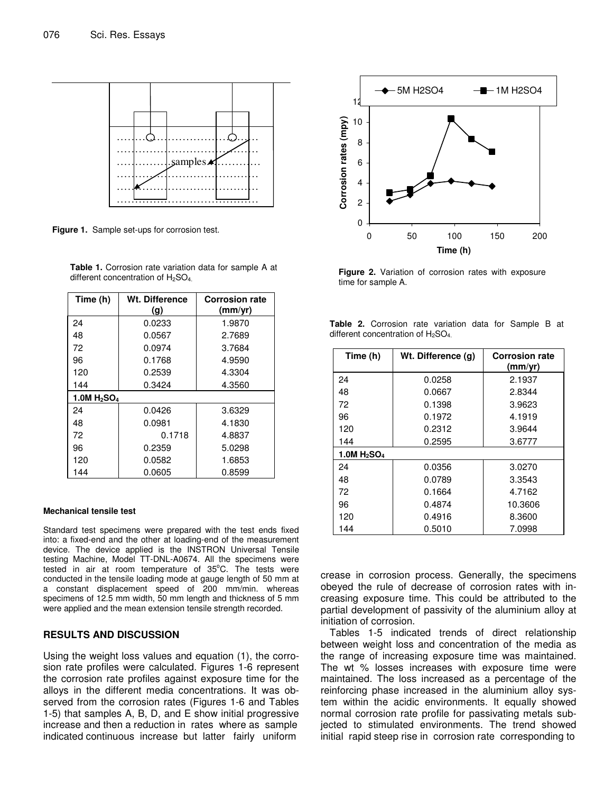

**Figure 1.** Sample set-ups for corrosion test.

**Table 1.** Corrosion rate variation data for sample A at different concentration of H<sub>2</sub>SO<sub>4</sub>.

| Time (h)                   | Wt. Difference<br>(g) | <b>Corrosion rate</b><br>(mm/vr) |  |  |  |
|----------------------------|-----------------------|----------------------------------|--|--|--|
| 24                         | 0.0233                | 1.9870                           |  |  |  |
| 48                         | 0.0567                | 2.7689                           |  |  |  |
| 72                         | 0.0974                | 3.7684                           |  |  |  |
| 96                         | 0.1768                | 4.9590                           |  |  |  |
| 120                        | 0.2539                | 4.3304                           |  |  |  |
| 144                        | 0.3424                | 4.3560                           |  |  |  |
| 1.0M $H_2$ SO <sub>4</sub> |                       |                                  |  |  |  |
| 24                         | 0.0426                | 3.6329                           |  |  |  |
| 48                         | 0.0981                | 4.1830                           |  |  |  |
| 72                         | 0.1718                | 4.8837                           |  |  |  |
| 96                         | 0.2359                | 5.0298                           |  |  |  |
| 120                        | 0.0582                | 1.6853                           |  |  |  |
| 144                        | 0.0605                | 0.8599                           |  |  |  |

#### **Mechanical tensile test**

Standard test specimens were prepared with the test ends fixed into: a fixed-end and the other at loading-end of the measurement device. The device applied is the INSTRON Universal Tensile testing Machine, Model TT-DNL-A0674. All the specimens were tested in air at room temperature of 35°C. The tests were conducted in the tensile loading mode at gauge length of 50 mm at a constant displacement speed of 200 mm/min. whereas specimens of 12.5 mm width, 50 mm length and thickness of 5 mm were applied and the mean extension tensile strength recorded.

#### **RESULTS AND DISCUSSION**

Using the weight loss values and equation (1), the corrosion rate profiles were calculated. Figures 1-6 represent the corrosion rate profiles against exposure time for the alloys in the different media concentrations. It was observed from the corrosion rates (Figures 1-6 and Tables 1-5) that samples A, B, D, and E show initial progressive increase and then a reduction in rates where as sample indicated continuous increase but latter fairly uniform



**Figure 2.** Variation of corrosion rates with exposure time for sample A.

|                                      |  | <b>Table 2.</b> Corrosion rate variation data for Sample B at |  |  |  |  |  |
|--------------------------------------|--|---------------------------------------------------------------|--|--|--|--|--|
| different concentration of $H_2SO_4$ |  |                                                               |  |  |  |  |  |

| Time (h)                   | Wt. Difference (g) | <b>Corrosion rate</b><br>(mm/yr) |  |  |  |
|----------------------------|--------------------|----------------------------------|--|--|--|
| 24                         | 0.0258             | 2.1937                           |  |  |  |
| 48                         | 0.0667             | 2.8344                           |  |  |  |
| 72                         | 0.1398             | 3.9623                           |  |  |  |
| 96                         | 0.1972             | 4.1919                           |  |  |  |
| 120                        | 0.2312             | 3.9644                           |  |  |  |
| 144                        | 0.2595             | 3.6777                           |  |  |  |
| 1.0M $H_2$ SO <sub>4</sub> |                    |                                  |  |  |  |
| 24                         | 0.0356             | 3.0270                           |  |  |  |
| 48                         | 0.0789             | 3.3543                           |  |  |  |
| 72                         | 0.1664             | 4.7162                           |  |  |  |
| 96                         | 0.4874             | 10.3606                          |  |  |  |
| 120                        | 0.4916             | 8.3600                           |  |  |  |
| 144                        | 0.5010             | 7.0998                           |  |  |  |

crease in corrosion process. Generally, the specimens obeyed the rule of decrease of corrosion rates with increasing exposure time. This could be attributed to the partial development of passivity of the aluminium alloy at initiation of corrosion.

Tables 1-5 indicated trends of direct relationship between weight loss and concentration of the media as the range of increasing exposure time was maintained. The wt % losses increases with exposure time were maintained. The loss increased as a percentage of the reinforcing phase increased in the aluminium alloy system within the acidic environments. It equally showed normal corrosion rate profile for passivating metals subjected to stimulated environments. The trend showed initial rapid steep rise in corrosion rate corresponding to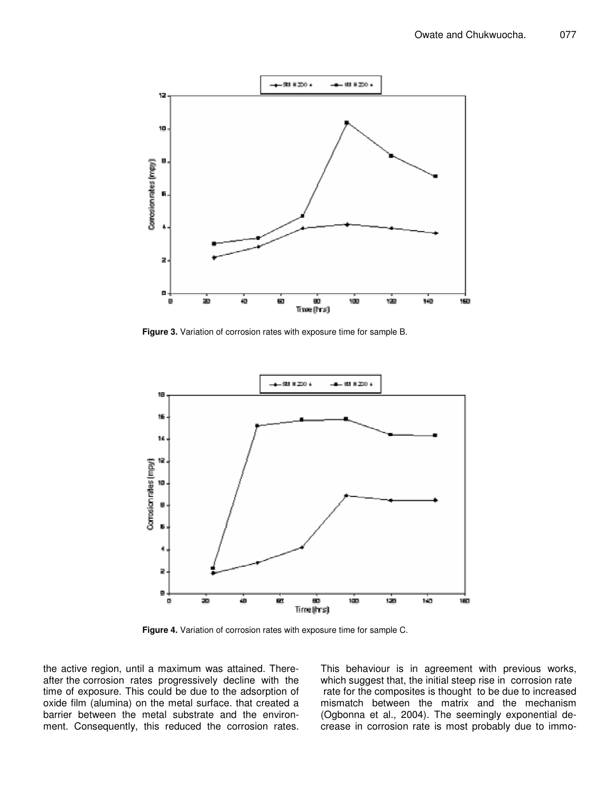

**Figure 3.** Variation of corrosion rates with exposure time for sample B.



**Figure 4.** Variation of corrosion rates with exposure time for sample C.

the active region, until a maximum was attained. Thereafter the corrosion rates progressively decline with the time of exposure. This could be due to the adsorption of oxide film (alumina) on the metal surface. that created a barrier between the metal substrate and the environment. Consequently, this reduced the corrosion rates. This behaviour is in agreement with previous works, which suggest that, the initial steep rise in corrosion rate rate for the composites is thought to be due to increased mismatch between the matrix and the mechanism (Ogbonna et al., 2004). The seemingly exponential decrease in corrosion rate is most probably due to immo-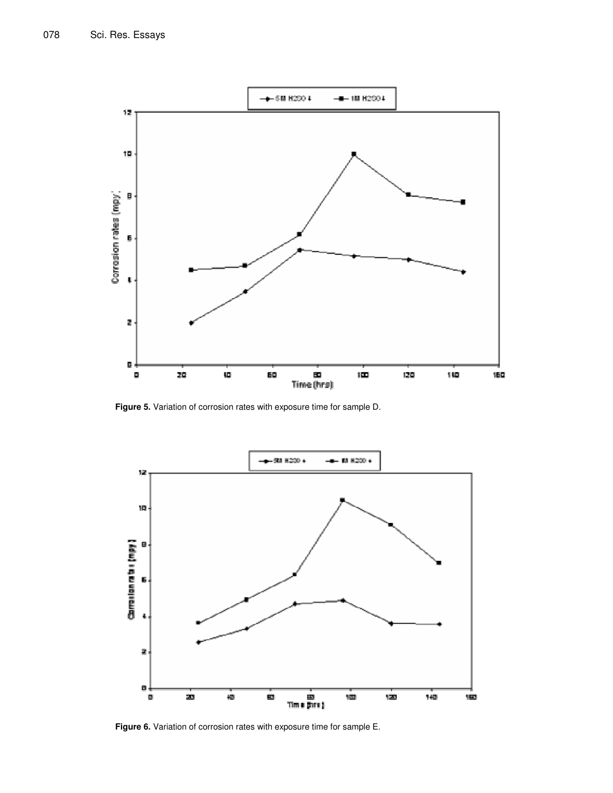

**Figure 5.** Variation of corrosion rates with exposure time for sample D.



**Figure 6.** Variation of corrosion rates with exposure time for sample E.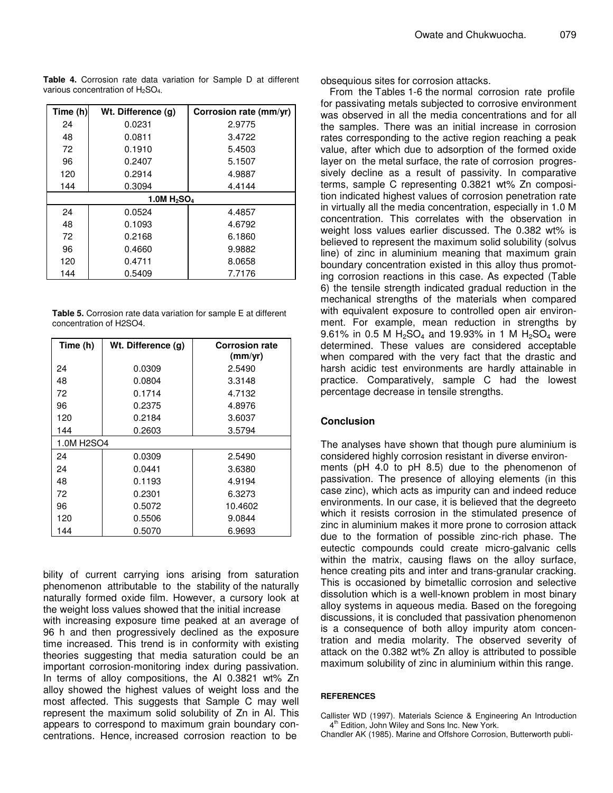**Table 4.** Corrosion rate data variation for Sample D at different various concentration of H2SO<sup>4</sup>*.*

| Time (h)                   | Wt. Difference (g) | Corrosion rate (mm/yr) |  |  |  |  |  |
|----------------------------|--------------------|------------------------|--|--|--|--|--|
| 24                         | 0.0231             | 2.9775                 |  |  |  |  |  |
| 48                         | 0.0811             | 3.4722                 |  |  |  |  |  |
| 72                         | 0.1910             | 5.4503                 |  |  |  |  |  |
| 96                         | 0.2407             | 5.1507                 |  |  |  |  |  |
| 120                        | 0.2914             | 4.9887                 |  |  |  |  |  |
| 144                        | 0.3094             | 4.4144                 |  |  |  |  |  |
| 1.0M $H_2$ SO <sub>4</sub> |                    |                        |  |  |  |  |  |
| 24                         | 0.0524             | 4.4857                 |  |  |  |  |  |
| 48                         | 0.1093             | 4.6792                 |  |  |  |  |  |
| 72                         | 0.2168             | 6.1860                 |  |  |  |  |  |
| 96                         | 0.4660             | 9.9882                 |  |  |  |  |  |
| 120                        | 0.4711             | 8.0658                 |  |  |  |  |  |
| 144                        | 0.5409             | 7.7176                 |  |  |  |  |  |

**Table 5.** Corrosion rate data variation for sample E at different concentration of H2SO4.

| Time (h)                | Wt. Difference (g) | <b>Corrosion rate</b><br>(mm/yr) |  |  |  |
|-------------------------|--------------------|----------------------------------|--|--|--|
| 24                      | 0.0309             | 2.5490                           |  |  |  |
| 48                      | 0.0804             | 3.3148                           |  |  |  |
| 72                      | 0.1714             | 4.7132                           |  |  |  |
| 96                      | 0.2375             | 4.8976                           |  |  |  |
| 120                     | 0.2184             | 3.6037                           |  |  |  |
| 144<br>3.5794<br>0.2603 |                    |                                  |  |  |  |
| 1.0M H2SO4              |                    |                                  |  |  |  |
| 24                      | 0.0309             | 2.5490                           |  |  |  |
| 24                      | 0.0441             | 3.6380                           |  |  |  |
| 48                      | 0.1193             | 4.9194                           |  |  |  |
| 72                      | 0.2301             | 6.3273                           |  |  |  |
| 96                      | 0.5072             | 10.4602                          |  |  |  |
| 120                     | 0.5506             | 9.0844                           |  |  |  |
| 144                     | 0.5070             | 6.9693                           |  |  |  |

bility of current carrying ions arising from saturation phenomenon attributable to the stability of the naturally naturally formed oxide film. However, a cursory look at the weight loss values showed that the initial increase

with increasing exposure time peaked at an average of 96 h and then progressively declined as the exposure time increased. This trend is in conformity with existing theories suggesting that media saturation could be an important corrosion-monitoring index during passivation. In terms of alloy compositions, the Al 0.3821 wt% Zn alloy showed the highest values of weight loss and the most affected. This suggests that Sample C may well represent the maximum solid solubility of Zn in Al. This appears to correspond to maximum grain boundary concentrations. Hence, increased corrosion reaction to be

obsequious sites for corrosion attacks.

From the Tables 1-6 the normal corrosion rate profile for passivating metals subjected to corrosive environment was observed in all the media concentrations and for all the samples. There was an initial increase in corrosion rates corresponding to the active region reaching a peak value, after which due to adsorption of the formed oxide layer on the metal surface, the rate of corrosion progressively decline as a result of passivity. In comparative terms, sample C representing 0.3821 wt% Zn composition indicated highest values of corrosion penetration rate in virtually all the media concentration, especially in 1.0 M concentration. This correlates with the observation in weight loss values earlier discussed. The 0.382 wt% is believed to represent the maximum solid solubility (solvus line) of zinc in aluminium meaning that maximum grain boundary concentration existed in this alloy thus promoting corrosion reactions in this case. As expected (Table 6) the tensile strength indicated gradual reduction in the mechanical strengths of the materials when compared with equivalent exposure to controlled open air environment. For example, mean reduction in strengths by 9.61% in 0.5 M  $H_2SO_4$  and 19.93% in 1 M  $H_2SO_4$  were determined. These values are considered acceptable when compared with the very fact that the drastic and harsh acidic test environments are hardly attainable in practice. Comparatively, sample C had the lowest percentage decrease in tensile strengths.

### **Conclusion**

The analyses have shown that though pure aluminium is considered highly corrosion resistant in diverse environments (pH 4.0 to pH 8.5) due to the phenomenon of passivation. The presence of alloying elements (in this case zinc), which acts as impurity can and indeed reduce environments. In our case, it is believed that the degreeto which it resists corrosion in the stimulated presence of zinc in aluminium makes it more prone to corrosion attack due to the formation of possible zinc-rich phase. The eutectic compounds could create micro-galvanic cells within the matrix, causing flaws on the alloy surface, hence creating pits and inter and trans-granular cracking. This is occasioned by bimetallic corrosion and selective dissolution which is a well-known problem in most binary alloy systems in aqueous media. Based on the foregoing discussions, it is concluded that passivation phenomenon is a consequence of both alloy impurity atom concentration and media molarity. The observed severity of attack on the 0.382 wt% Zn alloy is attributed to possible maximum solubility of zinc in aluminium within this range.

#### **REFERENCES**

Callister WD (1997). Materials Science & Engineering An Introduction 4 th Edition*,* John Wiley and Sons Inc. New York.

Chandler AK (1985). Marine and Offshore Corrosion, Butterworth publi-